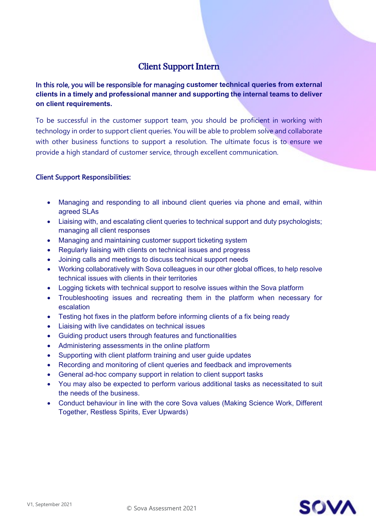## Client Support Intern

In this role, you will be responsible for managing **customer technical queries from external clients in a timely and professional manner and supporting the internal teams to deliver on client requirements.**

To be successful in the customer support team, you should be proficient in working with technology in order to support client queries. You will be able to problem solve and collaborate with other business functions to support a resolution. The ultimate focus is to ensure we provide a high standard of customer service, through excellent communication.

## Client Support Responsibilities:

- Managing and responding to all inbound client queries via phone and email, within agreed SLAs
- Liaising with, and escalating client queries to technical support and duty psychologists; managing all client responses
- Managing and maintaining customer support ticketing system
- Regularly liaising with clients on technical issues and progress
- Joining calls and meetings to discuss technical support needs
- Working collaboratively with Sova colleagues in our other global offices, to help resolve technical issues with clients in their territories
- Logging tickets with technical support to resolve issues within the Sova platform
- Troubleshooting issues and recreating them in the platform when necessary for escalation
- Testing hot fixes in the platform before informing clients of a fix being ready
- Liaising with live candidates on technical issues
- Guiding product users through features and functionalities
- Administering assessments in the online platform
- Supporting with client platform training and user guide updates
- Recording and monitoring of client queries and feedback and improvements
- General ad-hoc company support in relation to client support tasks
- You may also be expected to perform various additional tasks as necessitated to suit the needs of the business.
- Conduct behaviour in line with the core Sova values (Making Science Work, Different Together, Restless Spirits, Ever Upwards)